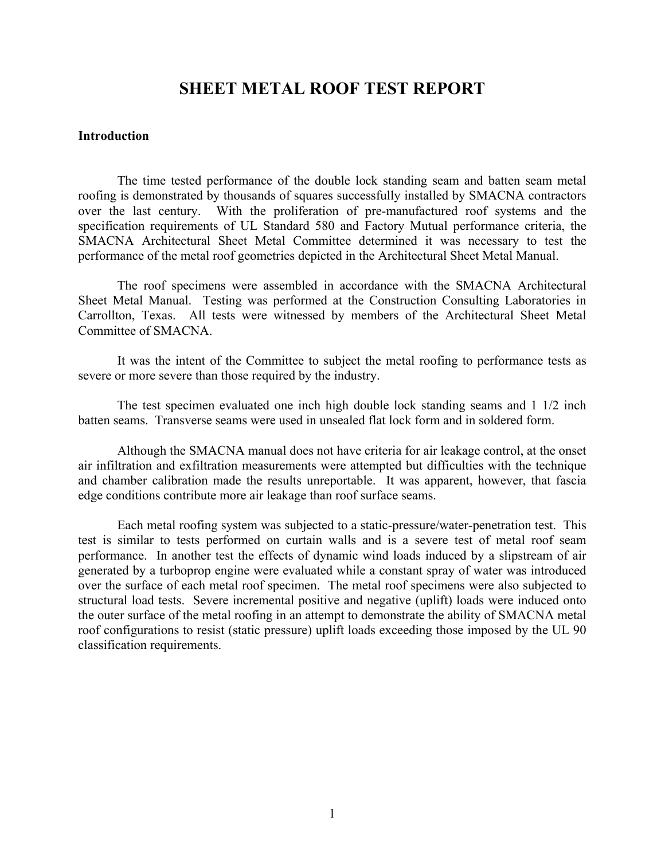## **SHEET METAL ROOF TEST REPORT**

#### **Introduction**

 The time tested performance of the double lock standing seam and batten seam metal roofing is demonstrated by thousands of squares successfully installed by SMACNA contractors over the last century. With the proliferation of pre-manufactured roof systems and the specification requirements of UL Standard 580 and Factory Mutual performance criteria, the SMACNA Architectural Sheet Metal Committee determined it was necessary to test the performance of the metal roof geometries depicted in the Architectural Sheet Metal Manual.

 The roof specimens were assembled in accordance with the SMACNA Architectural Sheet Metal Manual. Testing was performed at the Construction Consulting Laboratories in Carrollton, Texas. All tests were witnessed by members of the Architectural Sheet Metal Committee of SMACNA.

 It was the intent of the Committee to subject the metal roofing to performance tests as severe or more severe than those required by the industry.

 The test specimen evaluated one inch high double lock standing seams and 1 1/2 inch batten seams. Transverse seams were used in unsealed flat lock form and in soldered form.

 Although the SMACNA manual does not have criteria for air leakage control, at the onset air infiltration and exfiltration measurements were attempted but difficulties with the technique and chamber calibration made the results unreportable. It was apparent, however, that fascia edge conditions contribute more air leakage than roof surface seams.

 Each metal roofing system was subjected to a static-pressure/water-penetration test. This test is similar to tests performed on curtain walls and is a severe test of metal roof seam performance. In another test the effects of dynamic wind loads induced by a slipstream of air generated by a turboprop engine were evaluated while a constant spray of water was introduced over the surface of each metal roof specimen. The metal roof specimens were also subjected to structural load tests. Severe incremental positive and negative (uplift) loads were induced onto the outer surface of the metal roofing in an attempt to demonstrate the ability of SMACNA metal roof configurations to resist (static pressure) uplift loads exceeding those imposed by the UL 90 classification requirements.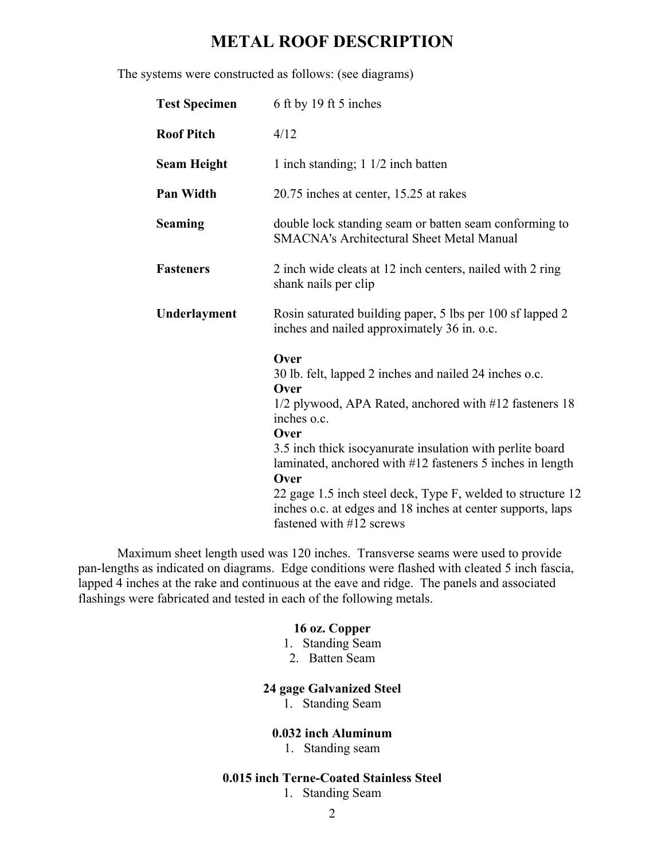# **METAL ROOF DESCRIPTION**

The systems were constructed as follows: (see diagrams)

| <b>Test Specimen</b> | 6 ft by 19 ft 5 inches                                                                                                                                                                                                                                                                                                                                                                                                                              |
|----------------------|-----------------------------------------------------------------------------------------------------------------------------------------------------------------------------------------------------------------------------------------------------------------------------------------------------------------------------------------------------------------------------------------------------------------------------------------------------|
| <b>Roof Pitch</b>    | 4/12                                                                                                                                                                                                                                                                                                                                                                                                                                                |
| <b>Seam Height</b>   | 1 inch standing; $1 \frac{1}{2}$ inch batten                                                                                                                                                                                                                                                                                                                                                                                                        |
| <b>Pan Width</b>     | 20.75 inches at center, 15.25 at rakes                                                                                                                                                                                                                                                                                                                                                                                                              |
| <b>Seaming</b>       | double lock standing seam or batten seam conforming to<br><b>SMACNA's Architectural Sheet Metal Manual</b>                                                                                                                                                                                                                                                                                                                                          |
| <b>Fasteners</b>     | 2 inch wide cleats at 12 inch centers, nailed with 2 ring<br>shank nails per clip                                                                                                                                                                                                                                                                                                                                                                   |
| Underlayment         | Rosin saturated building paper, 5 lbs per 100 sf lapped 2<br>inches and nailed approximately 36 in. o.c.                                                                                                                                                                                                                                                                                                                                            |
|                      | Over<br>30 lb. felt, lapped 2 inches and nailed 24 inches o.c.<br>Over<br>1/2 plywood, APA Rated, anchored with #12 fasteners 18<br>inches o.c.<br>Over<br>3.5 inch thick isocyanurate insulation with perlite board<br>laminated, anchored with #12 fasteners 5 inches in length<br>Over<br>22 gage 1.5 inch steel deck, Type F, welded to structure 12<br>inches o.c. at edges and 18 inches at center supports, laps<br>fastened with #12 screws |

 Maximum sheet length used was 120 inches. Transverse seams were used to provide pan-lengths as indicated on diagrams. Edge conditions were flashed with cleated 5 inch fascia, lapped 4 inches at the rake and continuous at the eave and ridge. The panels and associated flashings were fabricated and tested in each of the following metals.

### **16 oz. Copper**

- 1. Standing Seam
- 2. Batten Seam

### **24 gage Galvanized Steel**

1. Standing Seam

### **0.032 inch Aluminum**

1. Standing seam

## **0.015 inch Terne-Coated Stainless Steel**

1. Standing Seam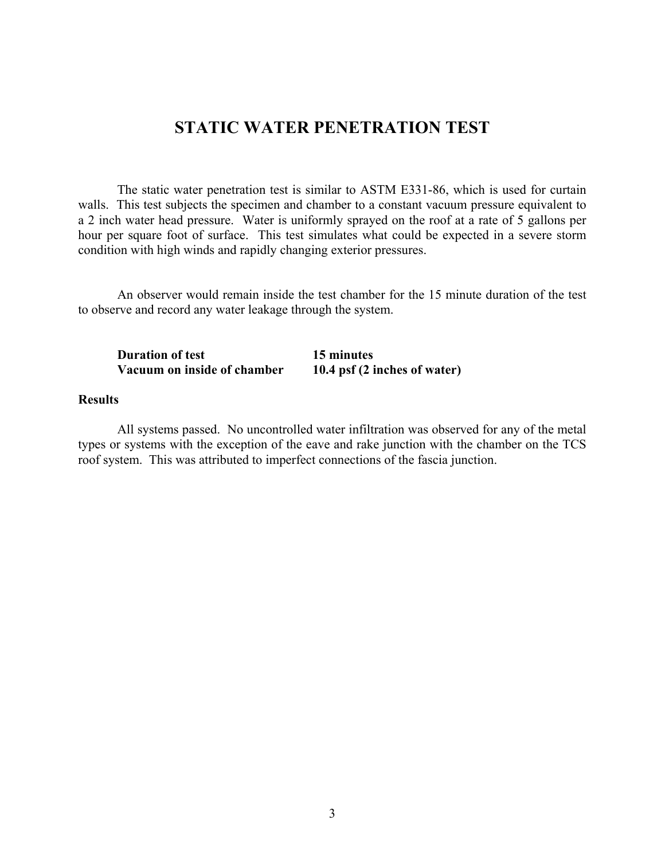# **STATIC WATER PENETRATION TEST**

 The static water penetration test is similar to ASTM E331-86, which is used for curtain walls. This test subjects the specimen and chamber to a constant vacuum pressure equivalent to a 2 inch water head pressure. Water is uniformly sprayed on the roof at a rate of 5 gallons per hour per square foot of surface. This test simulates what could be expected in a severe storm condition with high winds and rapidly changing exterior pressures.

 An observer would remain inside the test chamber for the 15 minute duration of the test to observe and record any water leakage through the system.

| <b>Duration of test</b>     | 15 minutes                   |
|-----------------------------|------------------------------|
| Vacuum on inside of chamber | 10.4 psf (2 inches of water) |

#### **Results**

 All systems passed. No uncontrolled water infiltration was observed for any of the metal types or systems with the exception of the eave and rake junction with the chamber on the TCS roof system. This was attributed to imperfect connections of the fascia junction.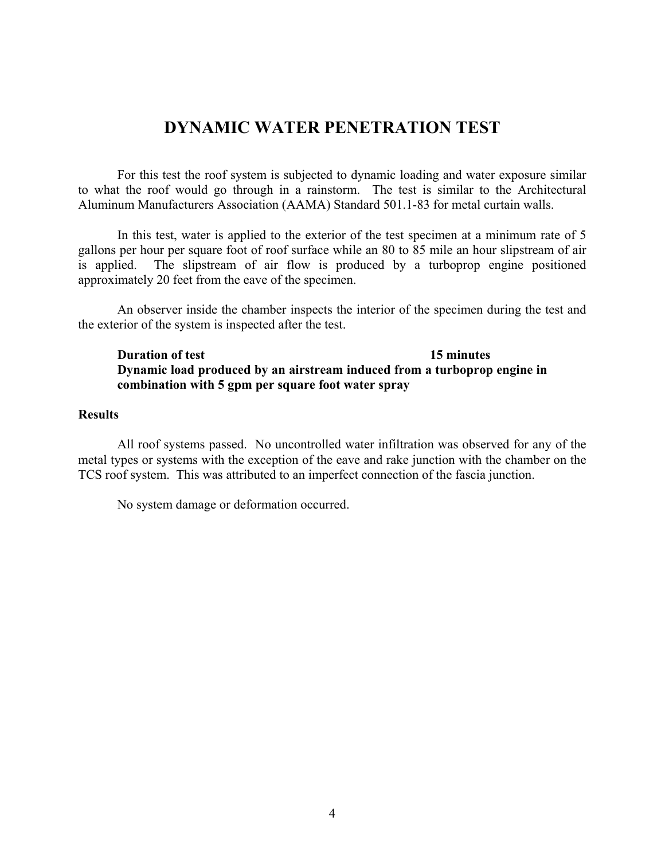# **DYNAMIC WATER PENETRATION TEST**

 For this test the roof system is subjected to dynamic loading and water exposure similar to what the roof would go through in a rainstorm. The test is similar to the Architectural Aluminum Manufacturers Association (AAMA) Standard 501.1-83 for metal curtain walls.

 In this test, water is applied to the exterior of the test specimen at a minimum rate of 5 gallons per hour per square foot of roof surface while an 80 to 85 mile an hour slipstream of air is applied. The slipstream of air flow is produced by a turboprop engine positioned approximately 20 feet from the eave of the specimen.

 An observer inside the chamber inspects the interior of the specimen during the test and the exterior of the system is inspected after the test.

## **Duration of test** 15 minutes **Dynamic load produced by an airstream induced from a turboprop engine in combination with 5 gpm per square foot water spray**

### **Results**

 All roof systems passed. No uncontrolled water infiltration was observed for any of the metal types or systems with the exception of the eave and rake junction with the chamber on the TCS roof system. This was attributed to an imperfect connection of the fascia junction.

No system damage or deformation occurred.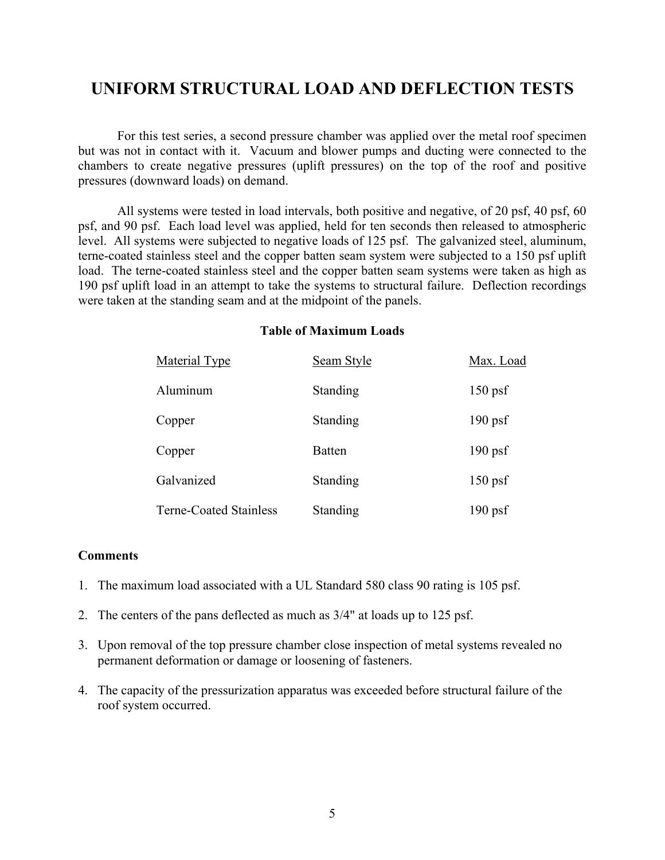# **UNIFORM STRUCTURAL LOAD AND DEFLECTION TESTS**

 For this test series, a second pressure chamber was applied over the metal roof specimen but was not in contact with it. Vacuum and blower pumps and ducting were connected to the chambers to create negative pressures (uplift pressures) on the top of the roof and positive pressures (downward loads) on demand.

 All systems were tested in load intervals, both positive and negative, of 20 psf, 40 psf, 60 psf, and 90 psf. Each load level was applied, held for ten seconds then released to atmospheric level. All systems were subjected to negative loads of 125 psf. The galvanized steel, aluminum, terne-coated stainless steel and the copper batten seam system were subjected to a 150 psf uplift load. The terne-coated stainless steel and the copper batten seam systems were taken as high as 190 psf uplift load in an attempt to take the systems to structural failure. Deflection recordings were taken at the standing seam and at the midpoint of the panels.

| <b>Material Type</b>          | Seam Style      | Max. Load |
|-------------------------------|-----------------|-----------|
| Aluminum                      | Standing        | $150$ psf |
| Copper                        | Standing        | $190$ psf |
| Copper                        | <b>Batten</b>   | $190$ psf |
| Galvanized                    | <b>Standing</b> | $150$ psf |
| <b>Terne-Coated Stainless</b> | Standing        | $190$ psf |

## **Table of Maximum Loads**

### **Comments**

- 1. The maximum load associated with a UL Standard 580 class 90 rating is 105 psf.
- 2. The centers of the pans deflected as much as 3/4" at loads up to 125 psf.
- 3. Upon removal of the top pressure chamber close inspection of metal systems revealed no permanent deformation or damage or loosening of fasteners.
- 4. The capacity of the pressurization apparatus was exceeded before structural failure of the roof system occurred.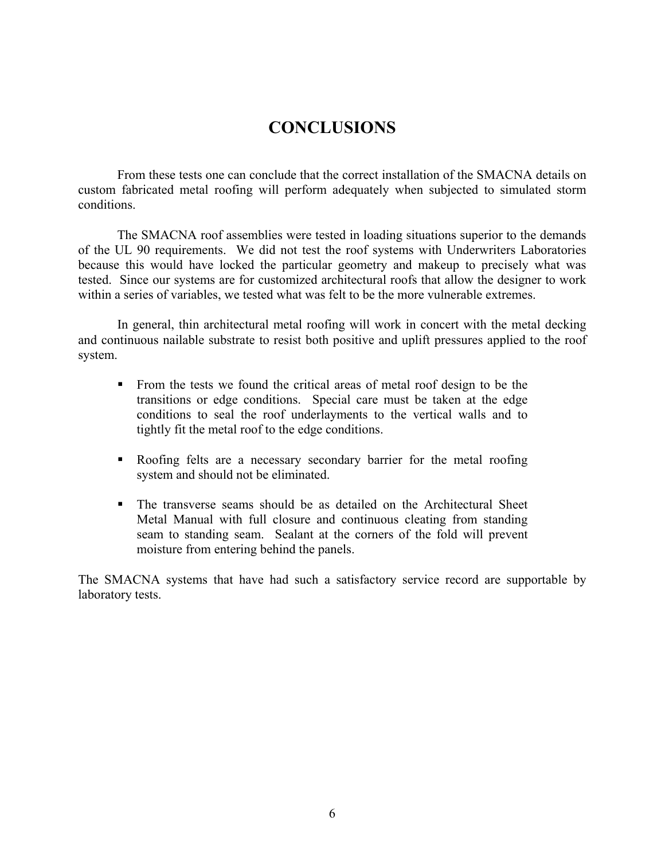# **CONCLUSIONS**

 From these tests one can conclude that the correct installation of the SMACNA details on custom fabricated metal roofing will perform adequately when subjected to simulated storm conditions.

 The SMACNA roof assemblies were tested in loading situations superior to the demands of the UL 90 requirements. We did not test the roof systems with Underwriters Laboratories because this would have locked the particular geometry and makeup to precisely what was tested. Since our systems are for customized architectural roofs that allow the designer to work within a series of variables, we tested what was felt to be the more vulnerable extremes.

 In general, thin architectural metal roofing will work in concert with the metal decking and continuous nailable substrate to resist both positive and uplift pressures applied to the roof system.

- From the tests we found the critical areas of metal roof design to be the transitions or edge conditions. Special care must be taken at the edge conditions to seal the roof underlayments to the vertical walls and to tightly fit the metal roof to the edge conditions.
- Roofing felts are a necessary secondary barrier for the metal roofing system and should not be eliminated.
- The transverse seams should be as detailed on the Architectural Sheet Metal Manual with full closure and continuous cleating from standing seam to standing seam. Sealant at the corners of the fold will prevent moisture from entering behind the panels.

The SMACNA systems that have had such a satisfactory service record are supportable by laboratory tests.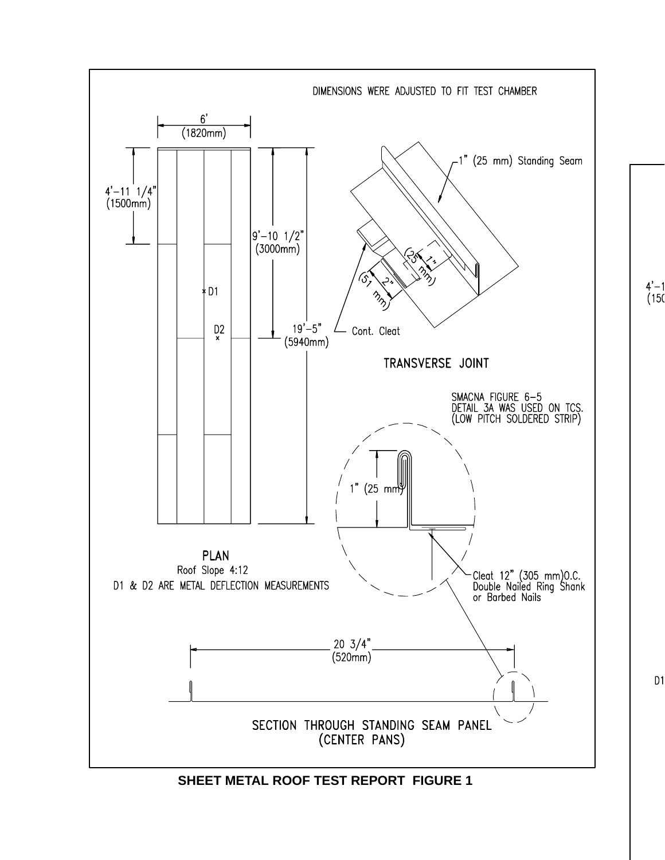

**SHEET METAL ROOF TEST REPORT FIGURE 1**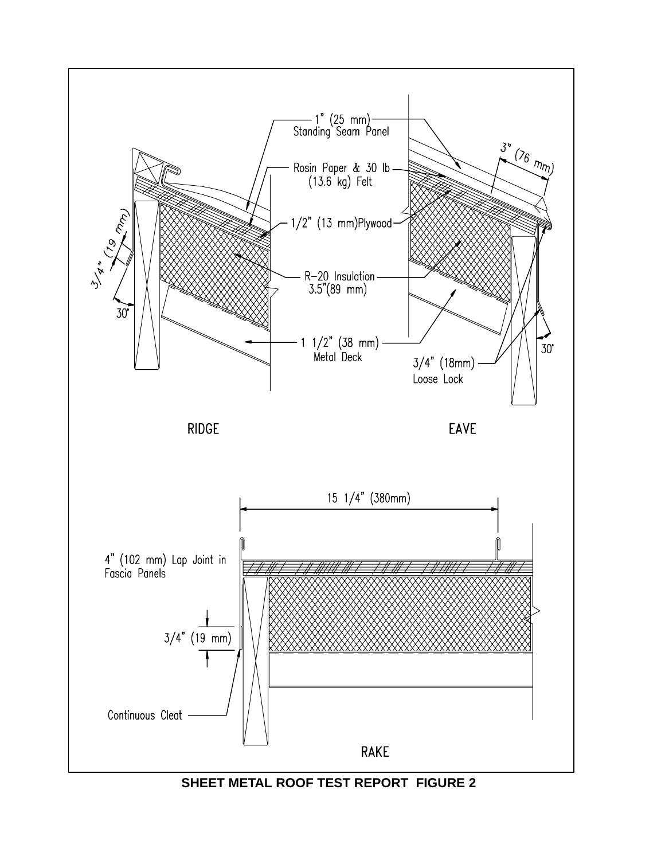

**SHEET METAL ROOF TEST REPORT FIGURE 2**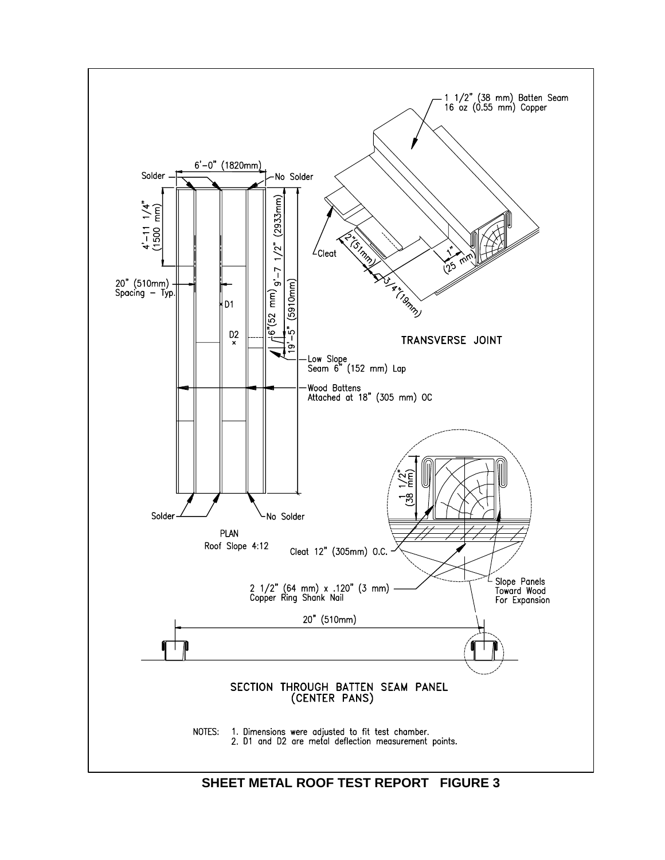

**SHEET METAL ROOF TEST REPORT FIGURE 3**